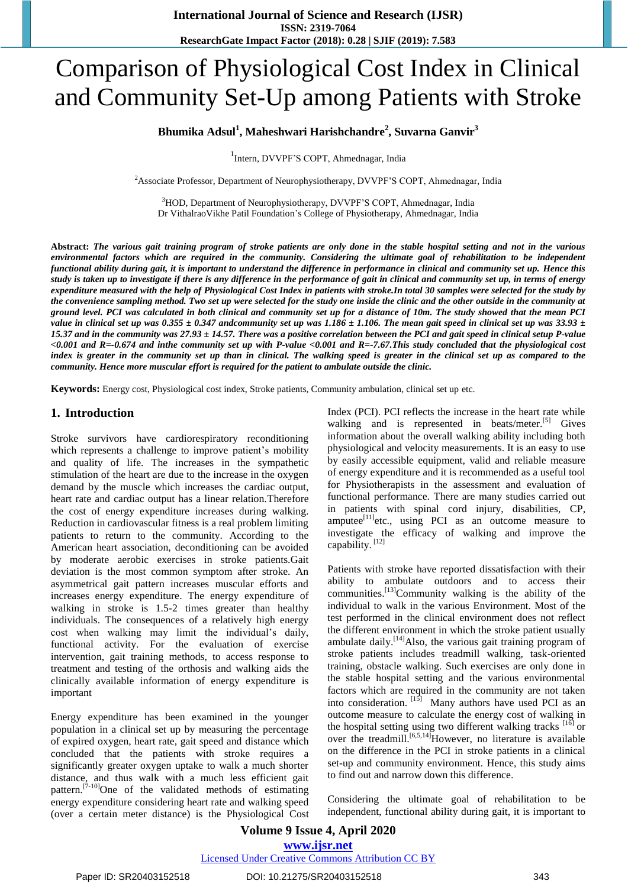# Comparison of Physiological Cost Index in Clinical and Community Set-Up among Patients with Stroke

## **Bhumika Adsul<sup>1</sup> , Maheshwari Harishchandre<sup>2</sup> , Suvarna Ganvir<sup>3</sup>**

1 Intern, DVVPF'S COPT, Ahmednagar, India

<sup>2</sup>Associate Professor, Department of Neurophysiotherapy, DVVPF'S COPT, Ahmednagar, India

<sup>3</sup>HOD, Department of Neurophysiotherapy, DVVPF'S COPT, Ahmednagar, India Dr VithalraoVikhe Patil Foundation's College of Physiotherapy, Ahmednagar, India

**Abstract:** *The various gait training program of stroke patients are only done in the stable hospital setting and not in the various environmental factors which are required in the community. Considering the ultimate goal of rehabilitation to be independent functional ability during gait, it is important to understand the difference in performance in clinical and community set up. Hence this study is taken up to investigate if there is any difference in the performance of gait in clinical and community set up, in terms of energy expenditure measured with the help of Physiological Cost Index in patients with stroke.In total 30 samples were selected for the study by the convenience sampling method. Two set up were selected for the study one inside the clinic and the other outside in the community at ground level. PCI was calculated in both clinical and community set up for a distance of 10m. The study showed that the mean PCI value in clinical set up was*  $0.355 \pm 0.347$  *andcommunity set up was 1.186*  $\pm$  *1.106. The mean gait speed in clinical set up was 33.93*  $\pm$ *15.37 and in the community was 27.93 ± 14.57. There was a positive correlation between the PCI and gait speed in clinical setup P-value <0.001 and R=-0.674 and inthe community set up with P-value <0.001 and R=-7.67.This study concluded that the physiological cost*  index is greater in the community set up than in clinical. The walking speed is greater in the clinical set up as compared to the *community. Hence more muscular effort is required for the patient to ambulate outside the clinic.*

**Keywords:** Energy cost, Physiological cost index, Stroke patients, Community ambulation, clinical set up etc.

#### **1. Introduction**

Stroke survivors have cardiorespiratory reconditioning which represents a challenge to improve patient's mobility and quality of life. The increases in the sympathetic stimulation of the heart are due to the increase in the oxygen demand by the muscle which increases the cardiac output, heart rate and cardiac output has a linear relation.Therefore the cost of energy expenditure increases during walking. Reduction in cardiovascular fitness is a real problem limiting patients to return to the community. According to the American heart association, deconditioning can be avoided by moderate aerobic exercises in stroke patients.Gait deviation is the most common symptom after stroke. An asymmetrical gait pattern increases muscular efforts and increases energy expenditure. The energy expenditure of walking in stroke is 1.5-2 times greater than healthy individuals. The consequences of a relatively high energy cost when walking may limit the individual's daily, functional activity. For the evaluation of exercise intervention, gait training methods, to access response to treatment and testing of the orthosis and walking aids the clinically available information of energy expenditure is important

Energy expenditure has been examined in the younger population in a clinical set up by measuring the percentage of expired oxygen, heart rate, gait speed and distance which concluded that the patients with stroke requires a significantly greater oxygen uptake to walk a much shorter distance, and thus walk with a much less efficient gait pattern.<sup>[7-10]</sup>One of the validated methods of estimating energy expenditure considering heart rate and walking speed (over a certain meter distance) is the Physiological Cost Index (PCI). PCI reflects the increase in the heart rate while walking and is represented in beats/meter.<sup>[5]</sup> Gives information about the overall walking ability including both physiological and velocity measurements. It is an easy to use by easily accessible equipment, valid and reliable measure of energy expenditure and it is recommended as a useful tool for Physiotherapists in the assessment and evaluation of functional performance. There are many studies carried out in patients with spinal cord injury, disabilities, CP,  $amputee^{[11]}$ etc., using PCI as an outcome measure to investigate the efficacy of walking and improve the capability.<sup>[12]</sup>

Patients with stroke have reported dissatisfaction with their ability to ambulate outdoors and to access their communities.<sup>[13]</sup>Community walking is the ability of the individual to walk in the various Environment. Most of the test performed in the clinical environment does not reflect the different environment in which the stroke patient usually ambulate daily.<sup>[14]</sup>Also, the various gait training program of stroke patients includes treadmill walking, task-oriented training, obstacle walking. Such exercises are only done in the stable hospital setting and the various environmental factors which are required in the community are not taken into consideration. [15] Many authors have used PCI as an outcome measure to calculate the energy cost of walking in the hospital setting using two different walking tracks [16] or over the treadmill.<sup>[6,5,14]</sup>However, no literature is available on the difference in the PCI in stroke patients in a clinical set-up and community environment. Hence, this study aims to find out and narrow down this difference.

Considering the ultimate goal of rehabilitation to be independent, functional ability during gait, it is important to

#### **Volume 9 Issue 4, April 2020 www.ijsr.net** Licensed Under Creative Commons Attribution CC BY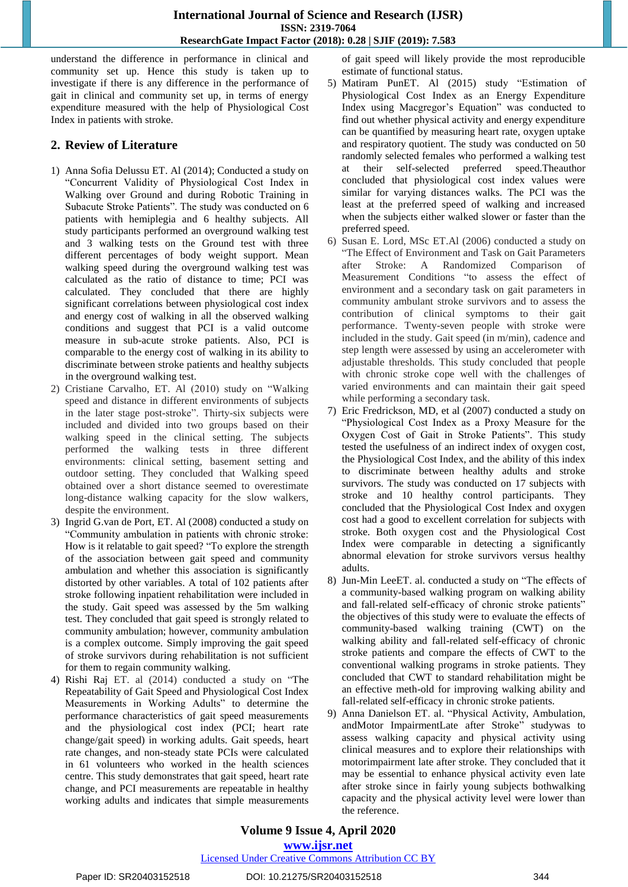#### **International Journal of Science and Research (IJSR) ISSN: 2319-7064 ResearchGate Impact Factor (2018): 0.28 | SJIF (2019): 7.583**

understand the difference in performance in clinical and community set up. Hence this study is taken up to investigate if there is any difference in the performance of gait in clinical and community set up, in terms of energy expenditure measured with the help of Physiological Cost Index in patients with stroke.

# **2. Review of Literature**

- 1) Anna Sofia Delussu ET. Al (2014); Conducted a study on "Concurrent Validity of Physiological Cost Index in Walking over Ground and during Robotic Training in Subacute Stroke Patients". The study was conducted on 6 patients with hemiplegia and 6 healthy subjects. All study participants performed an overground walking test and 3 walking tests on the Ground test with three different percentages of body weight support. Mean walking speed during the overground walking test was calculated as the ratio of distance to time; PCI was calculated. They concluded that there are highly significant correlations between physiological cost index and energy cost of walking in all the observed walking conditions and suggest that PCI is a valid outcome measure in sub-acute stroke patients. Also, PCI is comparable to the energy cost of walking in its ability to discriminate between stroke patients and healthy subjects in the overground walking test.
- 2) Cristiane Carvalho, ET. Al (2010) study on "Walking speed and distance in different environments of subjects in the later stage post-stroke". Thirty-six subjects were included and divided into two groups based on their walking speed in the clinical setting. The subjects performed the walking tests in three different environments: clinical setting, basement setting and outdoor setting. They concluded that Walking speed obtained over a short distance seemed to overestimate long-distance walking capacity for the slow walkers, despite the environment.
- 3) Ingrid G.van de Port, ET. Al (2008) conducted a study on "Community ambulation in patients with chronic stroke: How is it relatable to gait speed? "To explore the strength of the association between gait speed and community ambulation and whether this association is significantly distorted by other variables. A total of 102 patients after stroke following inpatient rehabilitation were included in the study. Gait speed was assessed by the 5m walking test. They concluded that gait speed is strongly related to community ambulation; however, community ambulation is a complex outcome. Simply improving the gait speed of stroke survivors during rehabilitation is not sufficient for them to regain community walking.
- 4) Rishi Raj ET. al (2014) conducted a study on "The Repeatability of Gait Speed and Physiological Cost Index Measurements in Working Adults" to determine the performance characteristics of gait speed measurements and the physiological cost index (PCI; heart rate change/gait speed) in working adults. Gait speeds, heart rate changes, and non-steady state PCIs were calculated in 61 volunteers who worked in the health sciences centre. This study demonstrates that gait speed, heart rate change, and PCI measurements are repeatable in healthy working adults and indicates that simple measurements

of gait speed will likely provide the most reproducible estimate of functional status.

- 5) Matiram PunET. Al (2015) study "Estimation of Physiological Cost Index as an Energy Expenditure Index using Macgregor's Equation" was conducted to find out whether physical activity and energy expenditure can be quantified by measuring heart rate, oxygen uptake and respiratory quotient. The study was conducted on 50 randomly selected females who performed a walking test at their self-selected preferred speed.Theauthor concluded that physiological cost index values were similar for varying distances walks. The PCI was the least at the preferred speed of walking and increased when the subjects either walked slower or faster than the preferred speed.
- 6) Susan E. Lord, MSc ET.Al (2006) conducted a study on "The Effect of Environment and Task on Gait Parameters after Stroke: A Randomized Comparison of Measurement Conditions "to assess the effect of environment and a secondary task on gait parameters in community ambulant stroke survivors and to assess the contribution of clinical symptoms to their gait performance. Twenty-seven people with stroke were included in the study. Gait speed (in m/min), cadence and step length were assessed by using an accelerometer with adjustable thresholds. This study concluded that people with chronic stroke cope well with the challenges of varied environments and can maintain their gait speed while performing a secondary task.
- Eric Fredrickson, MD, et al (2007) conducted a study on "Physiological Cost Index as a Proxy Measure for the Oxygen Cost of Gait in Stroke Patients". This study tested the usefulness of an indirect index of oxygen cost, the Physiological Cost Index, and the ability of this index to discriminate between healthy adults and stroke survivors. The study was conducted on 17 subjects with stroke and 10 healthy control participants. They concluded that the Physiological Cost Index and oxygen cost had a good to excellent correlation for subjects with stroke. Both oxygen cost and the Physiological Cost Index were comparable in detecting a significantly abnormal elevation for stroke survivors versus healthy adults.
- 8) Jun-Min LeeET. al. conducted a study on "The effects of a community-based walking program on walking ability and fall-related self-efficacy of chronic stroke patients" the objectives of this study were to evaluate the effects of community-based walking training (CWT) on the walking ability and fall-related self-efficacy of chronic stroke patients and compare the effects of CWT to the conventional walking programs in stroke patients. They concluded that CWT to standard rehabilitation might be an effective meth-old for improving walking ability and fall-related self-efficacy in chronic stroke patients.
- 9) Anna Danielson ET. al. "Physical Activity, Ambulation, andMotor ImpairmentLate after Stroke" studywas to assess walking capacity and physical activity using clinical measures and to explore their relationships with motorimpairment late after stroke. They concluded that it may be essential to enhance physical activity even late after stroke since in fairly young subjects bothwalking capacity and the physical activity level were lower than the reference.

## **Volume 9 Issue 4, April 2020 www.ijsr.net**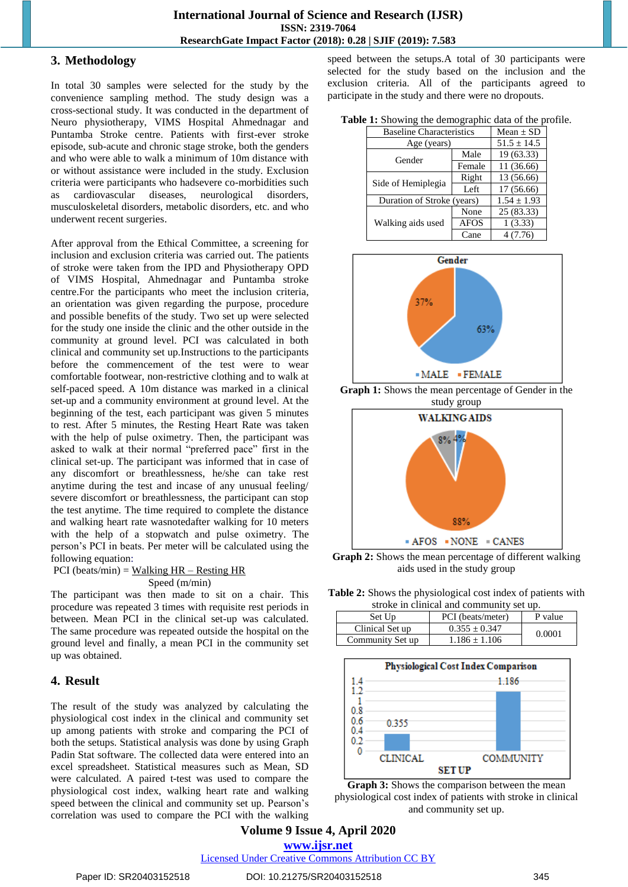## **3. Methodology**

In total 30 samples were selected for the study by the convenience sampling method. The study design was a cross-sectional study. It was conducted in the department of Neuro physiotherapy, VIMS Hospital Ahmednagar and Puntamba Stroke centre. Patients with first-ever stroke episode, sub-acute and chronic stage stroke, both the genders and who were able to walk a minimum of 10m distance with or without assistance were included in the study. Exclusion criteria were participants who hadsevere co-morbidities such as cardiovascular diseases, neurological disorders, musculoskeletal disorders, metabolic disorders, etc. and who underwent recent surgeries.

After approval from the Ethical Committee, a screening for inclusion and exclusion criteria was carried out. The patients of stroke were taken from the IPD and Physiotherapy OPD of VIMS Hospital, Ahmednagar and Puntamba stroke centre.For the participants who meet the inclusion criteria, an orientation was given regarding the purpose, procedure and possible benefits of the study. Two set up were selected for the study one inside the clinic and the other outside in the community at ground level. PCI was calculated in both clinical and community set up.Instructions to the participants before the commencement of the test were to wear comfortable footwear, non-restrictive clothing and to walk at self-paced speed. A 10m distance was marked in a clinical set-up and a community environment at ground level. At the beginning of the test, each participant was given 5 minutes to rest. After 5 minutes, the Resting Heart Rate was taken with the help of pulse oximetry. Then, the participant was asked to walk at their normal "preferred pace" first in the clinical set-up. The participant was informed that in case of any discomfort or breathlessness, he/she can take rest anytime during the test and incase of any unusual feeling/ severe discomfort or breathlessness, the participant can stop the test anytime. The time required to complete the distance and walking heart rate wasnotedafter walking for 10 meters with the help of a stopwatch and pulse oximetry. The person's PCI in beats. Per meter will be calculated using the following equation:

$$
PCI (beats/min) = Walking HR – Resting HR
$$
  
Speed (m/min)

The participant was then made to sit on a chair. This procedure was repeated 3 times with requisite rest periods in between. Mean PCI in the clinical set-up was calculated. The same procedure was repeated outside the hospital on the ground level and finally, a mean PCI in the community set up was obtained.

# **4. Result**

The result of the study was analyzed by calculating the physiological cost index in the clinical and community set up among patients with stroke and comparing the PCI of both the setups. Statistical analysis was done by using Graph Padin Stat software. The collected data were entered into an excel spreadsheet. Statistical measures such as Mean, SD were calculated. A paired t-test was used to compare the physiological cost index, walking heart rate and walking speed between the clinical and community set up. Pearson's correlation was used to compare the PCI with the walking speed between the setups.A total of 30 participants were selected for the study based on the inclusion and the exclusion criteria. All of the participants agreed to participate in the study and there were no dropouts.

|  |  | Table 1: Showing the demographic data of the profile. |  |  |  |  |  |
|--|--|-------------------------------------------------------|--|--|--|--|--|
|--|--|-------------------------------------------------------|--|--|--|--|--|

| <b>Baseline Characteristics</b> | $Mean \pm SD$   |            |
|---------------------------------|-----------------|------------|
| Age (years)                     | $51.5 \pm 14.5$ |            |
| Gender                          | Male            | 19(63.33)  |
|                                 | Female          | 11 (36.66) |
| Side of Hemiplegia              | Right           | 13 (56.66) |
|                                 | Left            | 17 (56.66) |
| Duration of Stroke (years)      | $1.54 \pm 1.93$ |            |
|                                 | None            | 25 (83.33) |
| Walking aids used               | <b>AFOS</b>     | 1(3.33)    |
|                                 | Cane            | 4(7.76)    |



**Graph 1:** Shows the mean percentage of Gender in the study group



**Graph 2:** Shows the mean percentage of different walking aids used in the study group

**Table 2:** Shows the physiological cost index of patients with stroke in clinical and community set up.

| stroke in chincal and community set up. |                   |         |  |  |
|-----------------------------------------|-------------------|---------|--|--|
| Set Up                                  | PCI (beats/meter) | P value |  |  |
| Clinical Set up                         | $0.355 \pm 0.347$ | 0.0001  |  |  |
| Community Set up                        | $1.186 \pm 1.106$ |         |  |  |





**Volume 9 Issue 4, April 2020 www.ijsr.net**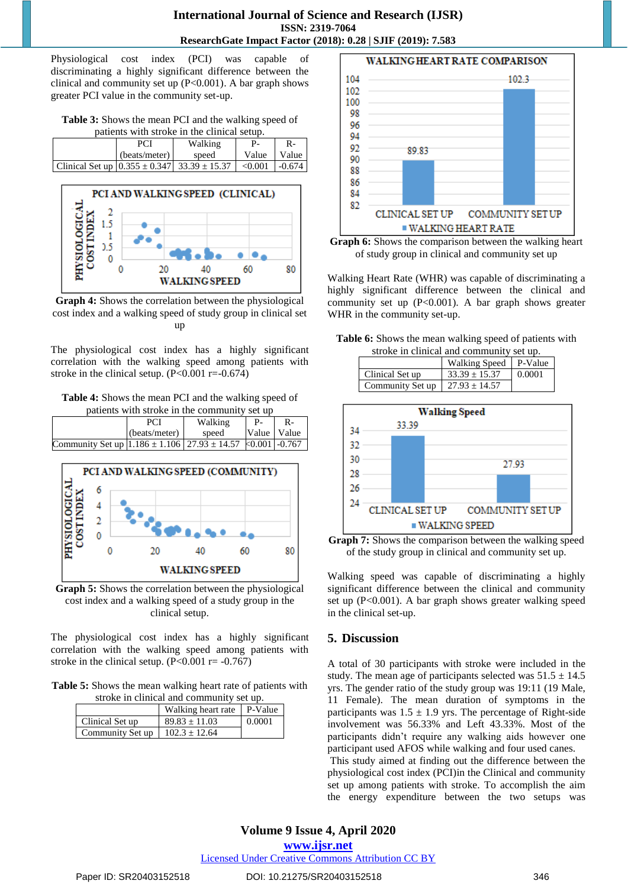Physiological cost index (PCI) was capable of discriminating a highly significant difference between the clinical and community set up (P<0.001). A bar graph shows greater PCI value in the community set-up.

**Table 3:** Shows the mean PCI and the walking speed of patients with stroke in the clinical setup.

|                                                       | PCI           | Walking |                  |       |
|-------------------------------------------------------|---------------|---------|------------------|-------|
|                                                       | (beats/meter) | speed   | Value            | Value |
| Clinical Set up $(0.355 \pm 0.347)$ 33.39 $\pm$ 15.37 |               |         | $< 0.001$ -0.674 |       |



**Graph 4:** Shows the correlation between the physiological cost index and a walking speed of study group in clinical set up

The physiological cost index has a highly significant correlation with the walking speed among patients with stroke in the clinical setup.  $(P<0.001$  r=-0.674)

**Table 4:** Shows the mean PCI and the walking speed of patients with stroke in the community set up

|                                                                    | <b>PCI</b>    | Walking | $P_{-}$       |  |
|--------------------------------------------------------------------|---------------|---------|---------------|--|
|                                                                    | (beats/meter) | speed   | Value   Value |  |
| Community Set up $ 1.186 \pm 1.106 27.93 \pm 14.57 k0.001 $ -0.767 |               |         |               |  |



**Graph 5:** Shows the correlation between the physiological cost index and a walking speed of a study group in the clinical setup.

The physiological cost index has a highly significant correlation with the walking speed among patients with stroke in the clinical setup.  $(P<0.001$  r=  $-0.767)$ 

**Table 5:** Shows the mean walking heart rate of patients with stroke in clinical and community set up.

| <u>sasar in chincal and community</u><br>. |                    |         |  |
|--------------------------------------------|--------------------|---------|--|
|                                            | Walking heart rate | P-Value |  |
| Clinical Set up                            | $89.83 \pm 11.03$  | 0.0001  |  |
| Community Set up                           | $102.3 + 12.64$    |         |  |





Walking Heart Rate (WHR) was capable of discriminating a highly significant difference between the clinical and community set up (P<0.001). A bar graph shows greater WHR in the community set-up.

| Table 6: Shows the mean walking speed of patients with |  |
|--------------------------------------------------------|--|
| stroke in clinical and community set up.               |  |

| suone in emmear and community set up. |                         |        |  |  |
|---------------------------------------|-------------------------|--------|--|--|
|                                       | Walking Speed   P-Value |        |  |  |
| Clinical Set up                       | $33.39 \pm 15.37$       | 0.0001 |  |  |
| Community Set up                      | $27.93 \pm 14.57$       |        |  |  |



**Graph 7:** Shows the comparison between the walking speed of the study group in clinical and community set up.

Walking speed was capable of discriminating a highly significant difference between the clinical and community set up (P<0.001). A bar graph shows greater walking speed in the clinical set-up.

# **5. Discussion**

A total of 30 participants with stroke were included in the study. The mean age of participants selected was  $51.5 \pm 14.5$ yrs. The gender ratio of the study group was 19:11 (19 Male, 11 Female). The mean duration of symptoms in the participants was  $1.5 \pm 1.9$  yrs. The percentage of Right-side involvement was 56.33% and Left 43.33%. Most of the participants didn't require any walking aids however one participant used AFOS while walking and four used canes.

This study aimed at finding out the difference between the physiological cost index (PCI)in the Clinical and community set up among patients with stroke. To accomplish the aim the energy expenditure between the two setups was

**www.ijsr.net**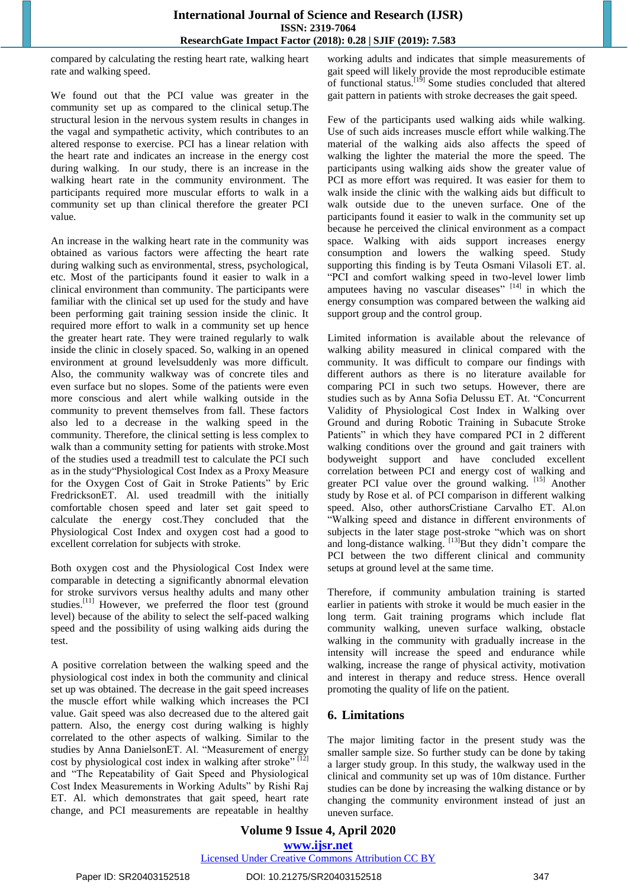compared by calculating the resting heart rate, walking heart rate and walking speed.

We found out that the PCI value was greater in the community set up as compared to the clinical setup.The structural lesion in the nervous system results in changes in the vagal and sympathetic activity, which contributes to an altered response to exercise. PCI has a linear relation with the heart rate and indicates an increase in the energy cost during walking. In our study, there is an increase in the walking heart rate in the community environment. The participants required more muscular efforts to walk in a community set up than clinical therefore the greater PCI value.

An increase in the walking heart rate in the community was obtained as various factors were affecting the heart rate during walking such as environmental, stress, psychological, etc. Most of the participants found it easier to walk in a clinical environment than community. The participants were familiar with the clinical set up used for the study and have been performing gait training session inside the clinic. It required more effort to walk in a community set up hence the greater heart rate. They were trained regularly to walk inside the clinic in closely spaced. So, walking in an opened environment at ground levelsuddenly was more difficult. Also, the community walkway was of concrete tiles and even surface but no slopes. Some of the patients were even more conscious and alert while walking outside in the community to prevent themselves from fall. These factors also led to a decrease in the walking speed in the community. Therefore, the clinical setting is less complex to walk than a community setting for patients with stroke.Most of the studies used a treadmill test to calculate the PCI such as in the study"Physiological Cost Index as a Proxy Measure for the Oxygen Cost of Gait in Stroke Patients" by Eric FredricksonET. Al. used treadmill with the initially comfortable chosen speed and later set gait speed to calculate the energy cost.They concluded that the Physiological Cost Index and oxygen cost had a good to excellent correlation for subjects with stroke.

Both oxygen cost and the Physiological Cost Index were comparable in detecting a significantly abnormal elevation for stroke survivors versus healthy adults and many other studies.[11] However, we preferred the floor test (ground level) because of the ability to select the self-paced walking speed and the possibility of using walking aids during the test.

A positive correlation between the walking speed and the physiological cost index in both the community and clinical set up was obtained. The decrease in the gait speed increases the muscle effort while walking which increases the PCI value. Gait speed was also decreased due to the altered gait pattern. Also, the energy cost during walking is highly correlated to the other aspects of walking. Similar to the studies by Anna DanielsonET. Al. "Measurement of energy cost by physiological cost index in walking after stroke"  $\left[1\right]$ and "The Repeatability of Gait Speed and Physiological Cost Index Measurements in Working Adults" by Rishi Raj ET. Al. which demonstrates that gait speed, heart rate change, and PCI measurements are repeatable in healthy

working adults and indicates that simple measurements of gait speed will likely provide the most reproducible estimate of functional status.<sup>[19]</sup> Some studies concluded that altered gait pattern in patients with stroke decreases the gait speed.

Few of the participants used walking aids while walking. Use of such aids increases muscle effort while walking.The material of the walking aids also affects the speed of walking the lighter the material the more the speed. The participants using walking aids show the greater value of PCI as more effort was required. It was easier for them to walk inside the clinic with the walking aids but difficult to walk outside due to the uneven surface. One of the participants found it easier to walk in the community set up because he perceived the clinical environment as a compact space. Walking with aids support increases energy consumption and lowers the walking speed. Study supporting this finding is by Teuta Osmani Vilasoli ET. al. "PCI and comfort walking speed in two-level lower limb amputees having no vascular diseases"  $[14]$  in which the energy consumption was compared between the walking aid support group and the control group.

Limited information is available about the relevance of walking ability measured in clinical compared with the community. It was difficult to compare our findings with different authors as there is no literature available for comparing PCI in such two setups. However, there are studies such as by Anna Sofia Delussu ET. At. "Concurrent Validity of Physiological Cost Index in Walking over Ground and during Robotic Training in Subacute Stroke Patients" in which they have compared PCI in 2 different walking conditions over the ground and gait trainers with bodyweight support and have concluded excellent correlation between PCI and energy cost of walking and greater PCI value over the ground walking. [15] Another study by Rose et al. of PCI comparison in different walking speed. Also, other authorsCristiane Carvalho ET. Al.on "Walking speed and distance in different environments of subjects in the later stage post-stroke "which was on short and long-distance walking. [13] But they didn't compare the PCI between the two different clinical and community setups at ground level at the same time.

Therefore, if community ambulation training is started earlier in patients with stroke it would be much easier in the long term. Gait training programs which include flat community walking, uneven surface walking, obstacle walking in the community with gradually increase in the intensity will increase the speed and endurance while walking, increase the range of physical activity, motivation and interest in therapy and reduce stress. Hence overall promoting the quality of life on the patient.

#### **6. Limitations**

The major limiting factor in the present study was the smaller sample size. So further study can be done by taking a larger study group. In this study, the walkway used in the clinical and community set up was of 10m distance. Further studies can be done by increasing the walking distance or by changing the community environment instead of just an uneven surface.

**Volume 9 Issue 4, April 2020 www.ijsr.net** Licensed Under Creative Commons Attribution CC BY